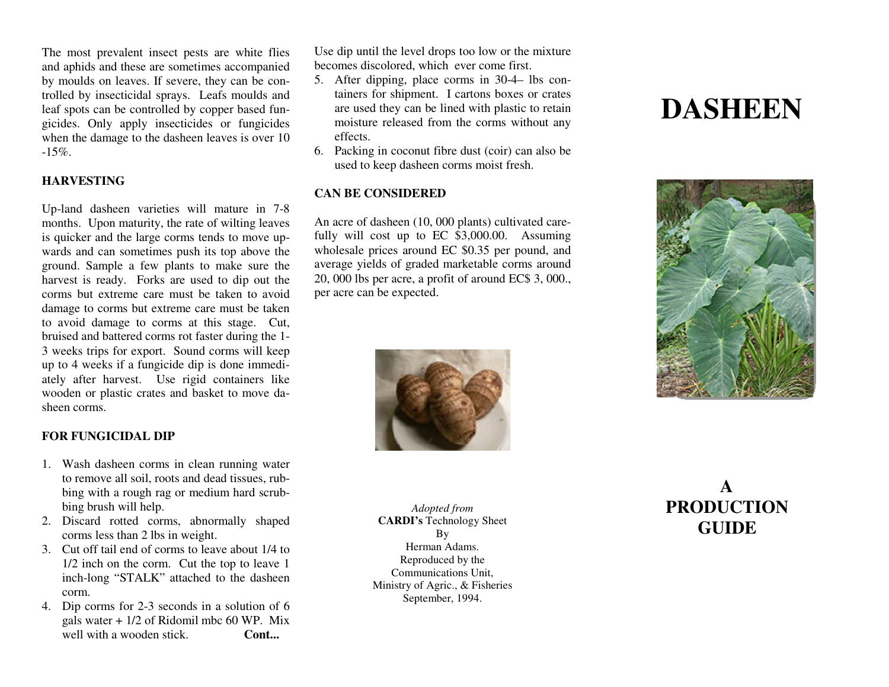The most prevalent insect pests are white flies and aphids and these are sometimes accompanied by moulds on leaves. If severe, they can be controlled by insecticidal sprays. Leafs moulds and leaf spots can be controlled by copper based fungicides. Only apply insecticides or fungicides when the damage to the dasheen leaves is over 10 $-15%$ .

# **HARVESTING**

Up-land dasheen varieties will mature in 7-8 months. Upon maturity, the rate of wilting leaves is quicker and the large corms tends to move upwards and can sometimes push its top above the ground. Sample a few plants to make sure the harvest is ready. Forks are used to dip out the corms but extreme care must be taken to avoid damage to corms but extreme care must be taken to avoid damage to corms at this stage. Cut, bruised and battered corms rot faster during the 1- 3 weeks trips for export. Sound corms will keep up to 4 weeks if a fungicide dip is done immediately after harvest. Use rigid containers like wooden or plastic crates and basket to move dasheen corms.

# **FOR FUNGICIDAL DIP**

- 1. Wash dasheen corms in clean running water to remove all soil, roots and dead tissues, rubbing with a rough rag or medium hard scrubbing brush will help.
- 2. Discard rotted corms, abnormally shaped corms less than 2 lbs in weight.
- 3. Cut off tail end of corms to leave about 1/4 to 1/2 inch on the corm. Cut the top to leave 1 inch-long "STALK" attached to the dasheen corm.
- 4. Dip corms for 2-3 seconds in a solution of 6 gals water + 1/2 of Ridomil mbc 60 WP. Mix well with a wooden stick. **Cont...**

Use dip until the level drops too low or the mixture becomes discolored, which ever come first.

- 5. After dipping, place corms in 30-4– lbs containers for shipment. I cartons boxes or crates are used they can be lined with plastic to retain moisture released from the corms without any effects.
- 6. Packing in coconut fibre dust (coir) can also be used to keep dasheen corms moist fresh.

## **CAN BE CONSIDERED**

An acre of dasheen (10, 000 plants) cultivated carefully will cost up to EC \$3,000.00. Assuming wholesale prices around EC \$0.35 per pound, and average yields of graded marketable corms around 20, 000 lbs per acre, a profit of around EC\$ 3, 000., per acre can be expected.



*Adopted from*  **CARDI's** Technology Sheet By Herman Adams. Reproduced by the Communications Unit, Ministry of Agric., & Fisheries September, 1994.

# **DASHEEN**



# **A PRODUCTION GUIDE**